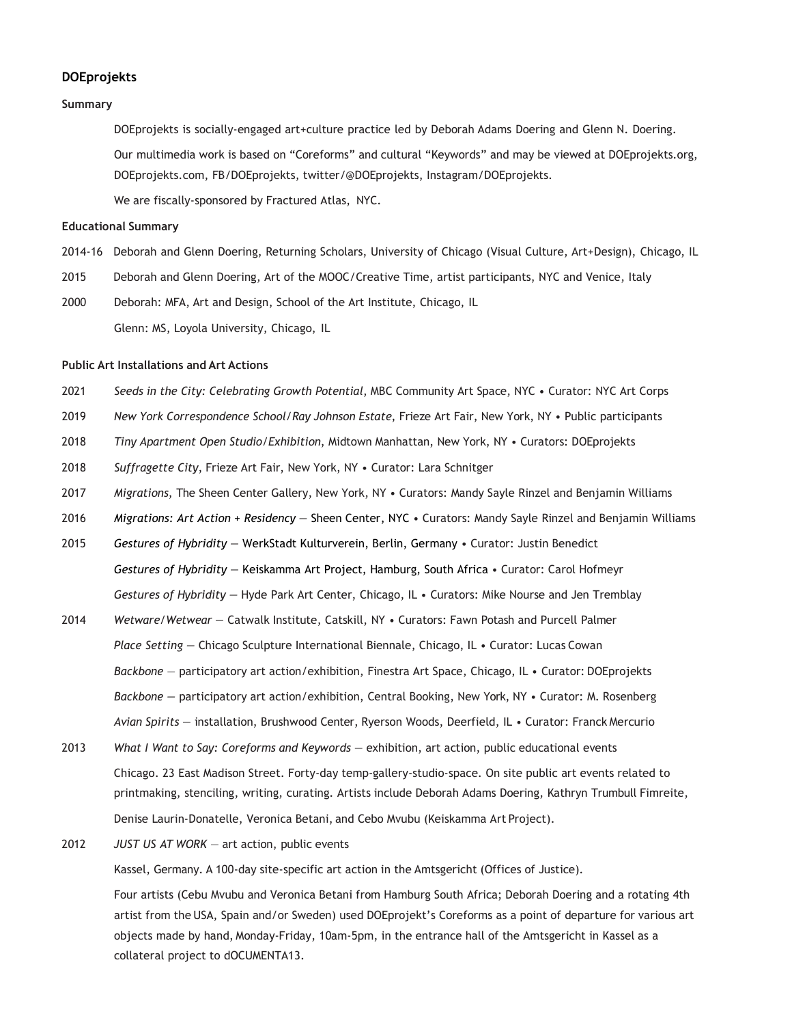## **DOEprojekts**

# **Summary**

DOEprojekts is socially-engaged art+culture practice led by Deborah Adams Doering and Glenn N. Doering. Our multimedia work is based on "Coreforms" and cultural "Keywords" and may be viewed at DOEprojekts.org, DOEprojekts.com, FB/DOEprojekts, twitter/@DOEprojekts, Instagram/DOEprojekts. We are fiscally-sponsored by Fractured Atlas, NYC.

### **Educational Summary**

- 2014-16 Deborah and Glenn Doering, Returning Scholars, University of Chicago (Visual Culture, Art+Design), Chicago, IL
- 2015 Deborah and Glenn Doering, Art of the MOOC/Creative Time, artist participants, NYC and Venice, Italy
- 2000 Deborah: MFA, Art and Design, School of the Art Institute, Chicago, IL Glenn: MS, Loyola University, Chicago, IL

## **Public Art Installations and Art Actions**

- 2021 *Seeds in the City: Celebrating Growth Potential*, MBC Community Art Space, NYC Curator: NYC Art Corps
- 2019 *New York Correspondence School/Ray Johnson Estate*, Frieze Art Fair, New York, NY Public participants
- 2018 *Tiny Apartment Open Studio/Exhibition*, Midtown Manhattan, New York, NY Curators: DOEprojekts
- 2018 *Suffragette City*, Frieze Art Fair, New York, NY Curator: Lara Schnitger
- 2017 *Migrations*, The Sheen Center Gallery, New York, NY Curators: Mandy Sayle Rinzel and Benjamin Williams
- 2016 *Migrations: Art Action + Residency —* Sheen Center, NYC Curators: Mandy Sayle Rinzel and Benjamin Williams
- 2015 *Gestures of Hybridity —* WerkStadt Kulturverein, Berlin, Germany Curator: Justin Benedict *Gestures of Hybridity —* Keiskamma Art Project, Hamburg, South Africa • Curator: Carol Hofmeyr *Gestures of Hybridity —* Hyde Park Art Center, Chicago, IL • Curators: Mike Nourse and Jen Tremblay
- 2014 *Wetware/Wetwear —* Catwalk Institute, Catskill, NY Curators: Fawn Potash and Purcell Palmer *Place Setting —* Chicago Sculpture International Biennale, Chicago, IL • Curator: Lucas Cowan *Backbone* — participatory art action/exhibition, Finestra Art Space, Chicago, IL • Curator: DOEprojekts *Backbone —* participatory art action/exhibition, Central Booking, New York, NY • Curator: M. Rosenberg *Avian Spirits* — installation, Brushwood Center, Ryerson Woods, Deerfield, IL • Curator: Franck Mercurio
- 2013 *What I Want to Say: Coreforms and Keywords*  exhibition, art action, public educational events Chicago. 23 East Madison Street. Forty-day temp-gallery-studio-space. On site public art events related to printmaking, stenciling, writing, curating. Artists include Deborah Adams Doering, Kathryn Trumbull Fimreite, Denise Laurin-Donatelle, Veronica Betani, and Cebo Mvubu (Keiskamma Art Project).
- 2012 *JUST US AT WORK*  art action, public events

Kassel, Germany. A 100-day site-specific art action in the Amtsgericht (Offices of Justice).

Four artists (Cebu Mvubu and Veronica Betani from Hamburg South Africa; Deborah Doering and a rotating 4th artist from the USA, Spain and/or Sweden) used DOEprojekt's Coreforms as a point of departure for various art objects made by hand, Monday-Friday, 10am-5pm, in the entrance hall of the Amtsgericht in Kassel as a collateral project to dOCUMENTA13.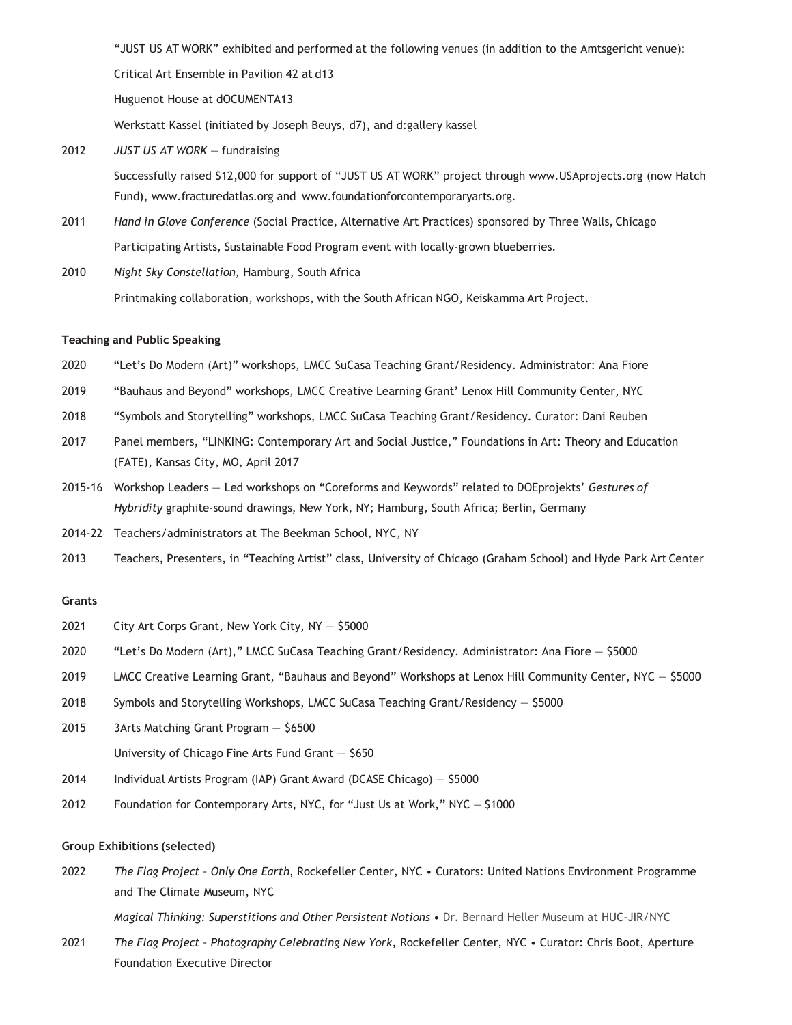"JUST US AT WORK" exhibited and performed at the following venues (in addition to the Amtsgericht venue):

Critical Art Ensemble in Pavilion 42 at d13

Huguenot House at dOCUMENTA13

Werkstatt Kassel (initiated by Joseph Beuys, d7), and d:gallery kassel

2012 *JUST US AT WORK* — fundraising

Successfully raised \$12,000 for support of "JUST US A[T WORK" project through www.USAprojects.org](http://www.usaprojects.org/) (now Hatch Fund), [www.fracturedatlas.org](http://www.fracturedatlas.org/) and [www.foundationforcontemporaryarts.org.](http://www.foundationforcontemporaryarts.org/)

- 2011 *Hand in Glove Conference* (Social Practice, Alternative Art Practices) sponsored by Three Walls, Chicago Participating Artists, Sustainable Food Program event with locally-grown blueberries.
- 2010 *Night Sky Constellation*, Hamburg, South Africa Printmaking collaboration, workshops, with the South African NGO, Keiskamma Art Project.

#### **Teaching and Public Speaking**

- 2020 "Let's Do Modern (Art)" workshops, LMCC SuCasa Teaching Grant/Residency. Administrator: Ana Fiore
- 2019 "Bauhaus and Beyond" workshops, LMCC Creative Learning Grant' Lenox Hill Community Center, NYC
- 2018 "Symbols and Storytelling" workshops, LMCC SuCasa Teaching Grant/Residency. Curator: Dani Reuben
- 2017 Panel members, "LINKING: Contemporary Art and Social Justice," Foundations in Art: Theory and Education (FATE), Kansas City, MO, April 2017
- 2015-16 Workshop Leaders Led workshops on "Coreforms and Keywords" related to DOEprojekts' *Gestures of Hybridity* graphite-sound drawings, New York, NY; Hamburg, South Africa; Berlin, Germany
- 2014-22 Teachers/administrators at The Beekman School, NYC, NY
- 2013 Teachers, Presenters, in "Teaching Artist" class, University of Chicago (Graham School) and Hyde Park Art Center

## **Grants**

- 2021 City Art Corps Grant, New York City, NY \$5000
- 2020 "Let's Do Modern (Art)," LMCC SuCasa Teaching Grant/Residency. Administrator: Ana Fiore \$5000
- 2019 LMCC Creative Learning Grant, "Bauhaus and Beyond" Workshops at Lenox Hill Community Center, NYC \$5000
- 2018 Symbols and Storytelling Workshops, LMCC SuCasa Teaching Grant/Residency \$5000
- 2015 3Arts Matching Grant Program \$6500 University of Chicago Fine Arts Fund Grant — \$650
- 2014 Individual Artists Program (IAP) Grant Award (DCASE Chicago) \$5000
- 2012 Foundation for Contemporary Arts, NYC, for "Just Us at Work," NYC \$1000

# **Group Exhibitions (selected)**

2022 *The Flag Project – Only One Earth*, Rockefeller Center, NYC • Curators: United Nations Environment Programme and The Climate Museum, NYC

*Magical Thinking: Superstitions and Other Persistent Notions* • Dr. Bernard Heller Museum at HUC-JIR/NYC

2021 *The Flag Project – Photography Celebrating New York*, Rockefeller Center, NYC • Curator: Chris Boot, Aperture Foundation Executive Director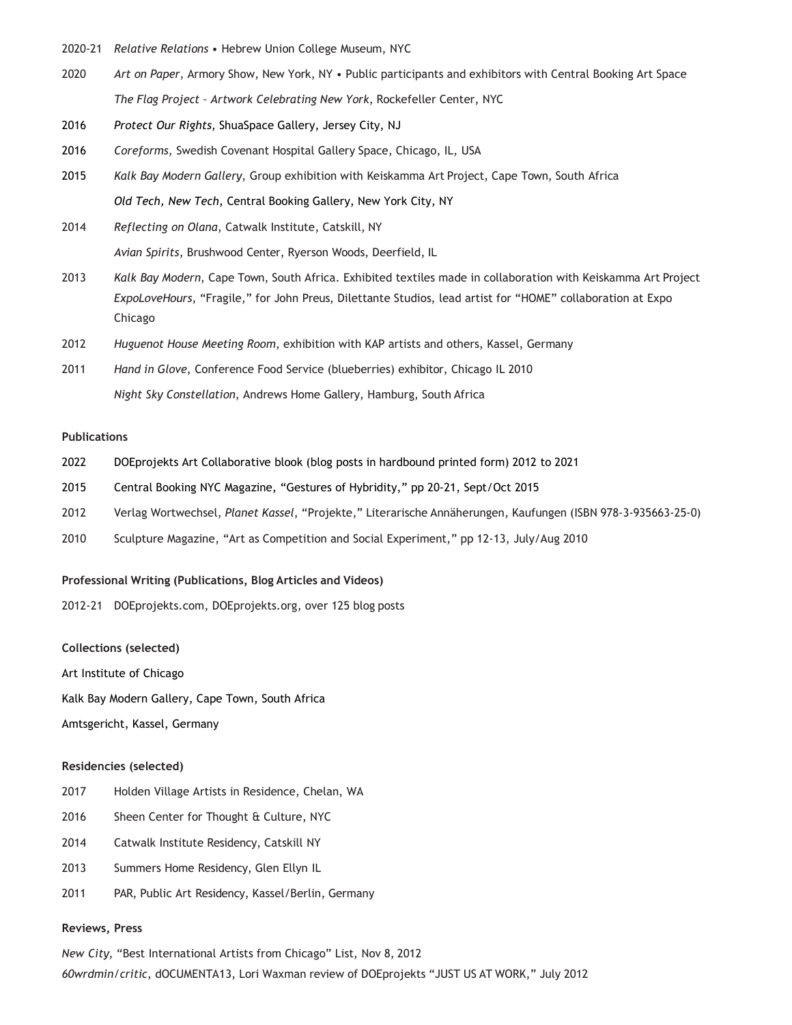- 2020-21 *Relative Relations* Hebrew Union College Museum, NYC
- 2020 *Art on Paper*, Armory Show, New York, NY Public participants and exhibitors with Central Booking Art Space *The Flag Project – Artwork Celebrating New York*, Rockefeller Center, NYC
- 2016 *Protect Our Rights*, ShuaSpace Gallery, Jersey City, NJ
- 2016 *Coreforms*, Swedish Covenant Hospital Gallery Space, Chicago, IL, USA
- 2015 *Kalk Bay Modern Gallery*, Group exhibition with Keiskamma Art Project, Cape Town, South Africa *Old Tech, New Tech*, Central Booking Gallery, New York City, NY

2014 *Reflecting on Olana*, Catwalk Institute, Catskill, NY *Avian Spirits*, Brushwood Center, Ryerson Woods, Deerfield, IL

- 2013 *Kalk Bay Modern*, Cape Town, South Africa. Exhibited textiles made in collaboration with Keiskamma Art Project *ExpoLoveHours*, "Fragile," for John Preus, Dilettante Studios, lead artist for "HOME" collaboration at Expo Chicago
- 2012 *Huguenot House Meeting Room*, exhibition with KAP artists and others, Kassel, Germany
- 2011 *Hand in Glove*, Conference Food Service (blueberries) exhibitor, Chicago IL 2010 *Night Sky Constellation*, Andrews Home Gallery, Hamburg, South Africa

## **Publications**

- 2022 DOEprojekts Art Collaborative blook (blog posts in hardbound printed form) 2012 to 2021
- 2015 Central Booking NYC Magazine, "Gestures of Hybridity," pp 20-21, Sept/Oct 2015
- 2012 Verlag Wortwechsel, *Planet Kassel*, "Projekte," Literarische Annäherungen, Kaufungen (ISBN 978-3-935663-25-0)
- 2010 Sculpture Magazine, "Art as Competition and Social Experiment," pp 12-13, July/Aug 2010

#### **Professional Writing (Publications, Blog Articles and Videos)**

2012-21 DOEprojekts.com, DOEprojekts.org, over 125 blog posts

# **Collections (selected)**

Art Institute of Chicago

Kalk Bay Modern Gallery, Cape Town, South Africa

Amtsgericht, Kassel, Germany

## **Residencies (selected)**

- 2017 Holden Village Artists in Residence, Chelan, WA
- 2016 Sheen Center for Thought & Culture, NYC
- 2014 Catwalk Institute Residency, Catskill NY
- 2013 Summers Home Residency, Glen Ellyn IL
- 2011 PAR, Public Art Residency, Kassel/Berlin, Germany

## **Reviews, Press**

*New City*, "Best International Artists from Chicago" List, Nov 8, 2012 *60wrdmin/critic*, dOCUMENTA13, Lori Waxman review of DOEprojekts "JUST US AT WORK," July 2012